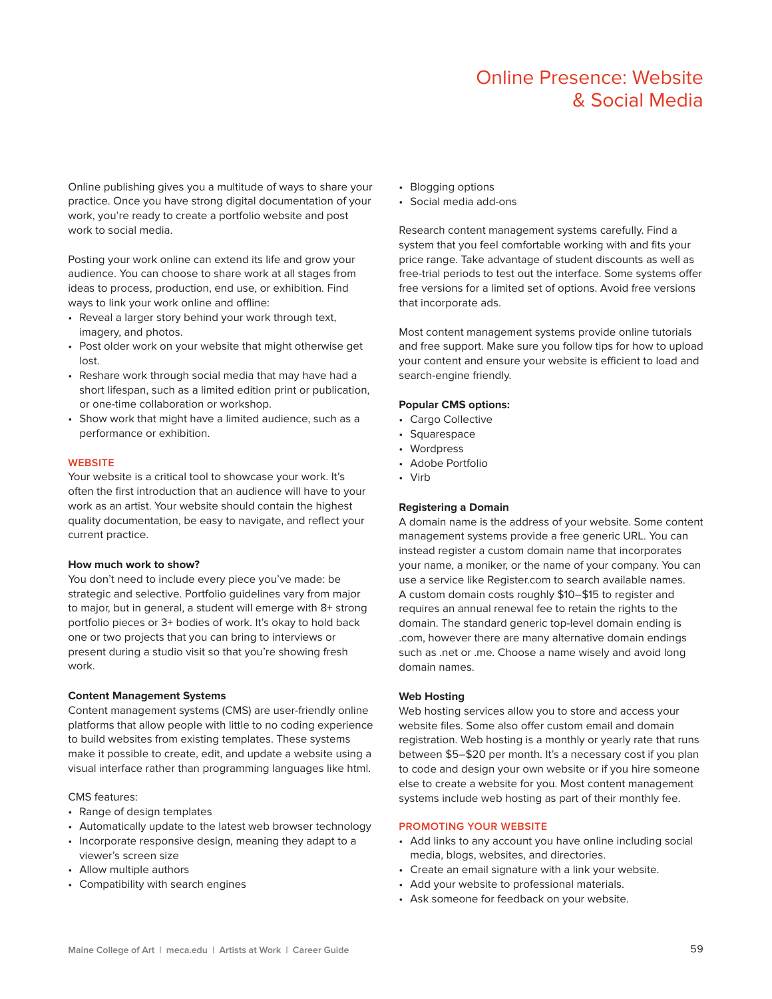# Online Presence: Website & Social Media

Online publishing gives you a multitude of ways to share your practice. Once you have strong digital documentation of your work, you're ready to create a portfolio website and post work to social media.

Posting your work online can extend its life and grow your audience. You can choose to share work at all stages from ideas to process, production, end use, or exhibition. Find ways to link your work online and offline:

- Reveal a larger story behind your work through text, imagery, and photos.
- Post older work on your website that might otherwise get lost.
- Reshare work through social media that may have had a short lifespan, such as a limited edition print or publication, or one-time collaboration or workshop.
- Show work that might have a limited audience, such as a performance or exhibition.

# **WEBSITE**

Your website is a critical tool to showcase your work. It's often the first introduction that an audience will have to your work as an artist. Your website should contain the highest quality documentation, be easy to navigate, and reflect your current practice.

#### **How much work to show?**

You don't need to include every piece you've made: be strategic and selective. Portfolio guidelines vary from major to major, but in general, a student will emerge with 8+ strong portfolio pieces or 3+ bodies of work. It's okay to hold back one or two projects that you can bring to interviews or present during a studio visit so that you're showing fresh work.

#### **Content Management Systems**

Content management systems (CMS) are user-friendly online platforms that allow people with little to no coding experience to build websites from existing templates. These systems make it possible to create, edit, and update a website using a visual interface rather than programming languages like html.

#### CMS features:

- Range of design templates
- Automatically update to the latest web browser technology
- Incorporate responsive design, meaning they adapt to a viewer's screen size
- Allow multiple authors
- Compatibility with search engines
- Blogging options
- Social media add-ons

Research content management systems carefully. Find a system that you feel comfortable working with and fits your price range. Take advantage of student discounts as well as free-trial periods to test out the interface. Some systems offer free versions for a limited set of options. Avoid free versions that incorporate ads.

Most content management systems provide online tutorials and free support. Make sure you follow tips for how to upload your content and ensure your website is efficient to load and search-engine friendly.

# **Popular CMS options:**

- Cargo Collective
- Squarespace
- Wordpress
- Adobe Portfolio
- Virb

# **Registering a Domain**

A domain name is the address of your website. Some content management systems provide a free generic URL. You can instead register a custom domain name that incorporates your name, a moniker, or the name of your company. You can use a service like Register.com to search available names. A custom domain costs roughly \$10–\$15 to register and requires an annual renewal fee to retain the rights to the domain. The standard generic top-level domain ending is .com, however there are many alternative domain endings such as .net or .me. Choose a name wisely and avoid long domain names.

#### **Web Hosting**

Web hosting services allow you to store and access your website files. Some also offer custom email and domain registration. Web hosting is a monthly or yearly rate that runs between \$5–\$20 per month. It's a necessary cost if you plan to code and design your own website or if you hire someone else to create a website for you. Most content management systems include web hosting as part of their monthly fee.

# **PROMOTING YOUR WEBSITE**

- Add links to any account you have online including social media, blogs, websites, and directories.
- Create an email signature with a link your website.
- Add your website to professional materials.
- Ask someone for feedback on your website.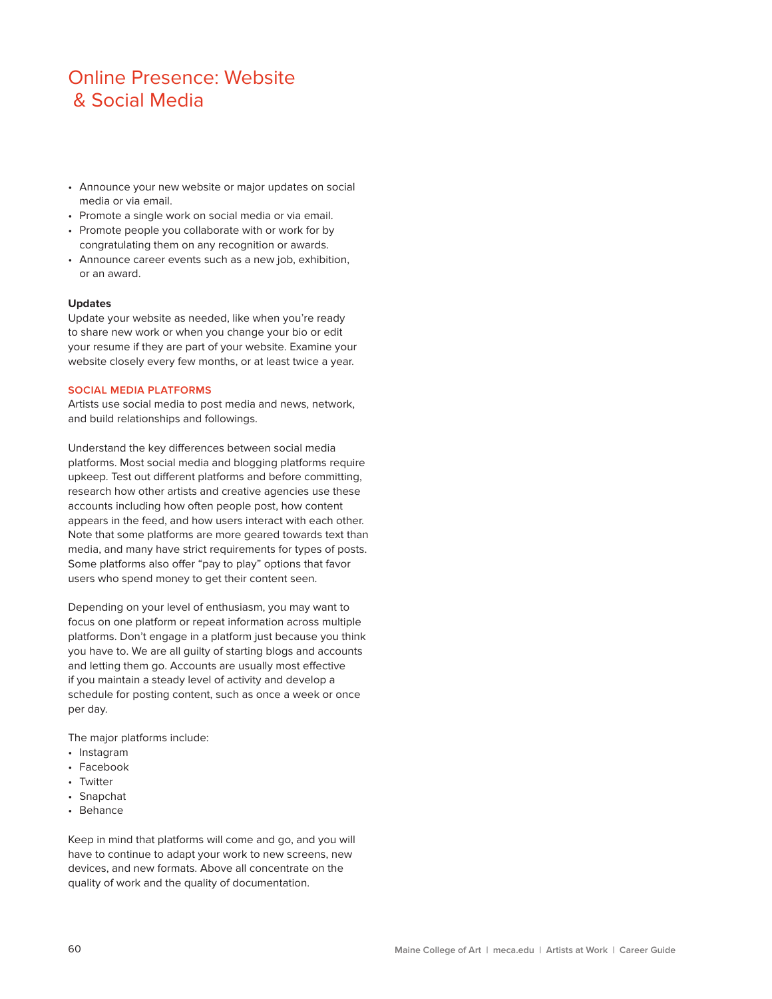# Online Presence: Website & Social Media

- Announce your new website or major updates on social media or via email.
- Promote a single work on social media or via email.
- Promote people you collaborate with or work for by congratulating them on any recognition or awards.
- Announce career events such as a new job, exhibition, or an award.

### **Updates**

Update your website as needed, like when you're ready to share new work or when you change your bio or edit your resume if they are part of your website. Examine your website closely every few months, or at least twice a year.

# **SOCIAL MEDIA PLATFORMS**

Artists use social media to post media and news, network, and build relationships and followings.

Understand the key diferences between social media platforms. Most social media and blogging platforms require upkeep. Test out diferent platforms and before committing, research how other artists and creative agencies use these accounts including how often people post, how content appears in the feed, and how users interact with each other. Note that some platforms are more geared towards text than media, and many have strict requirements for types of posts. Some platforms also offer "pay to play" options that favor users who spend money to get their content seen.

Depending on your level of enthusiasm, you may want to focus on one platform or repeat information across multiple platforms. Don't engage in a platform just because you think you have to. We are all guilty of starting blogs and accounts and letting them go. Accounts are usually most efective if you maintain a steady level of activity and develop a schedule for posting content, such as once a week or once per day.

The major platforms include:

- Instagram
- Facebook
- Twitter
- Snapchat
- Behance

Keep in mind that platforms will come and go, and you will have to continue to adapt your work to new screens, new devices, and new formats. Above all concentrate on the quality of work and the quality of documentation.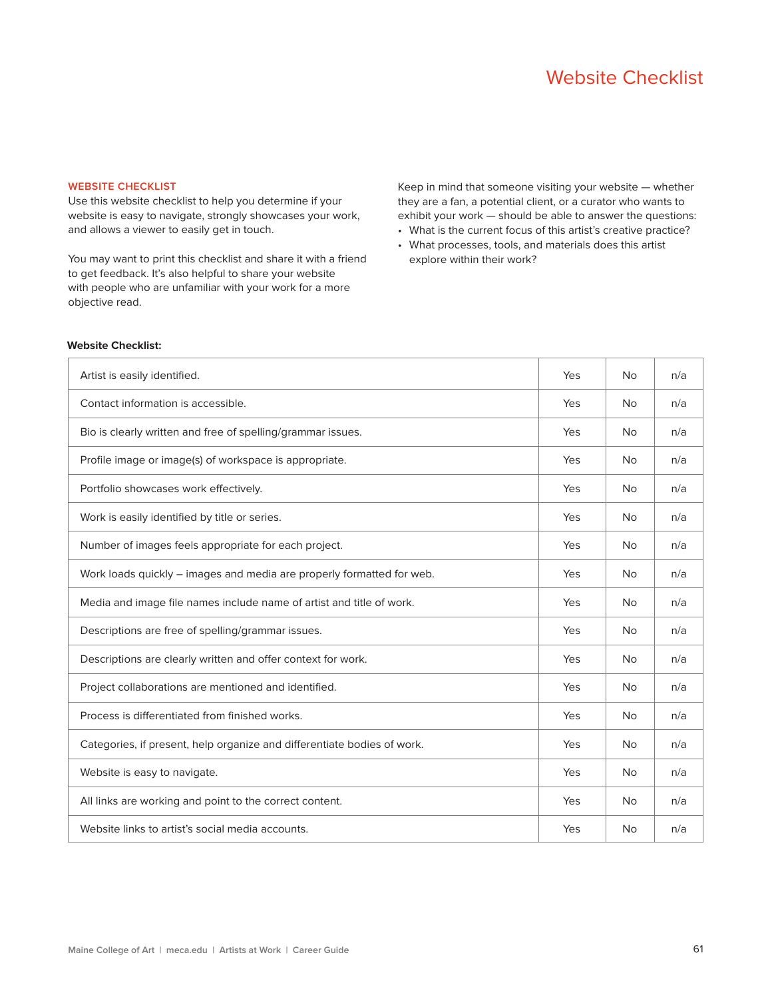# **WEBSITE CHECKLIST**

Use this website checklist to help you determine if your website is easy to navigate, strongly showcases your work, and allows a viewer to easily get in touch.

You may want to print this checklist and share it with a friend to get feedback. It's also helpful to share your website with people who are unfamiliar with your work for a more objective read.

Keep in mind that someone visiting your website — whether they are a fan, a potential client, or a curator who wants to exhibit your work — should be able to answer the questions:

- What is the current focus of this artist's creative practice?
- What processes, tools, and materials does this artist explore within their work?

#### **Website Checklist:**

| Artist is easily identified.                                            | Yes | <b>No</b> | n/a |
|-------------------------------------------------------------------------|-----|-----------|-----|
| Contact information is accessible.                                      | Yes | <b>No</b> | n/a |
| Bio is clearly written and free of spelling/grammar issues.             | Yes | <b>No</b> | n/a |
| Profile image or image(s) of workspace is appropriate.                  | Yes | <b>No</b> | n/a |
| Portfolio showcases work effectively.                                   | Yes | No        | n/a |
| Work is easily identified by title or series.                           | Yes | <b>No</b> | n/a |
| Number of images feels appropriate for each project.                    | Yes | <b>No</b> | n/a |
| Work loads quickly - images and media are properly formatted for web.   | Yes | <b>No</b> | n/a |
| Media and image file names include name of artist and title of work.    | Yes | <b>No</b> | n/a |
| Descriptions are free of spelling/grammar issues.                       | Yes | <b>No</b> | n/a |
| Descriptions are clearly written and offer context for work.            | Yes | <b>No</b> | n/a |
| Project collaborations are mentioned and identified.                    | Yes | No        | n/a |
| Process is differentiated from finished works.                          | Yes | <b>No</b> | n/a |
| Categories, if present, help organize and differentiate bodies of work. | Yes | <b>No</b> | n/a |
| Website is easy to navigate.                                            | Yes | <b>No</b> | n/a |
| All links are working and point to the correct content.                 | Yes | <b>No</b> | n/a |
| Website links to artist's social media accounts.                        | Yes | <b>No</b> | n/a |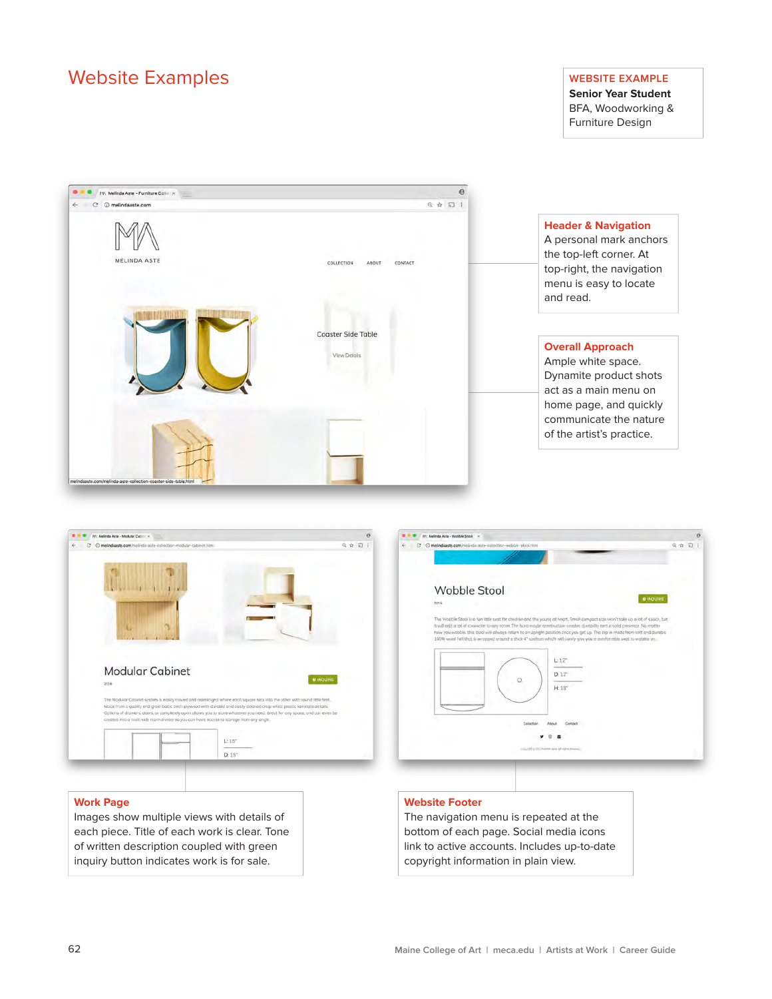# Website Examples **Website Examples**

**Senior Year Student** BFA, Woodworking & Furniture Design



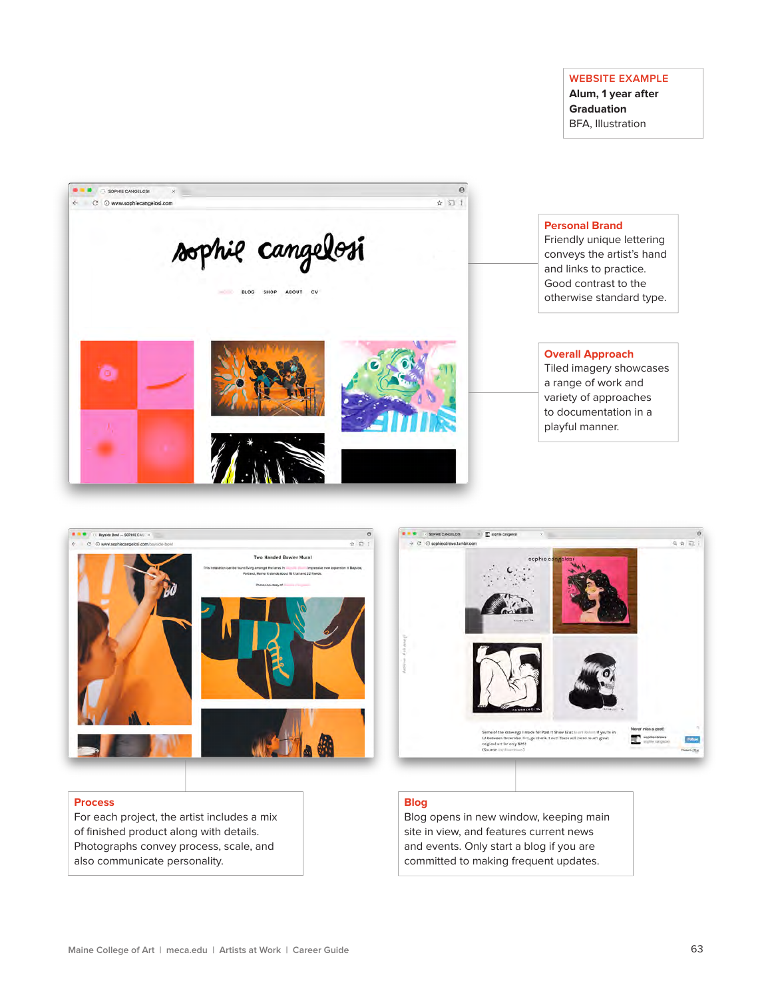# **WEBSITE EXAMPLE**

**Alum, 1 year after Graduation** BFA, Illustration







# **Process**

For each project, the artist includes a mix of finished product along with details. Photographs convey process, scale, and also communicate personality.

#### **Blog**

Blog opens in new window, keeping main site in view, and features current news and events. Only start a blog if you are committed to making frequent updates.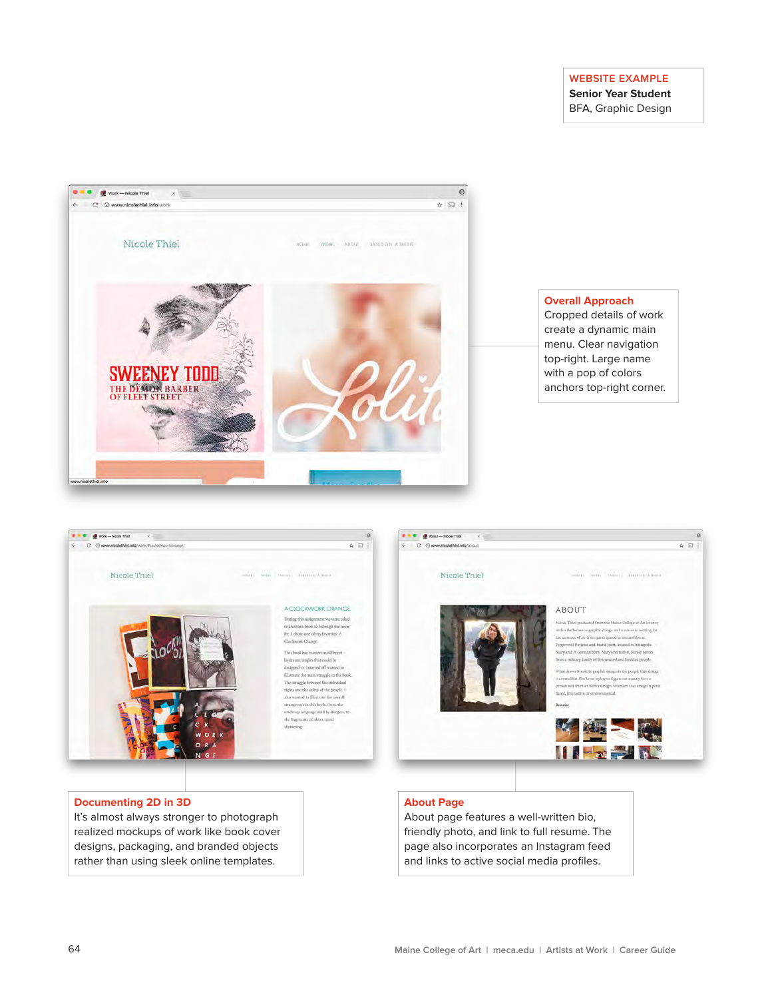# **WEBSITE EXAMPLE**

**Senior Year Student** BFA, Graphic Design





#### **Documenting 2D in 3D**

It's almost always stronger to photograph realized mockups of work like book cover designs, packaging, and branded objects rather than using sleek online templates.

#### **About Page**

About page features a well-written bio, friendly photo, and link to full resume. The page also incorporates an Instagram feed and links to active social media profiles.